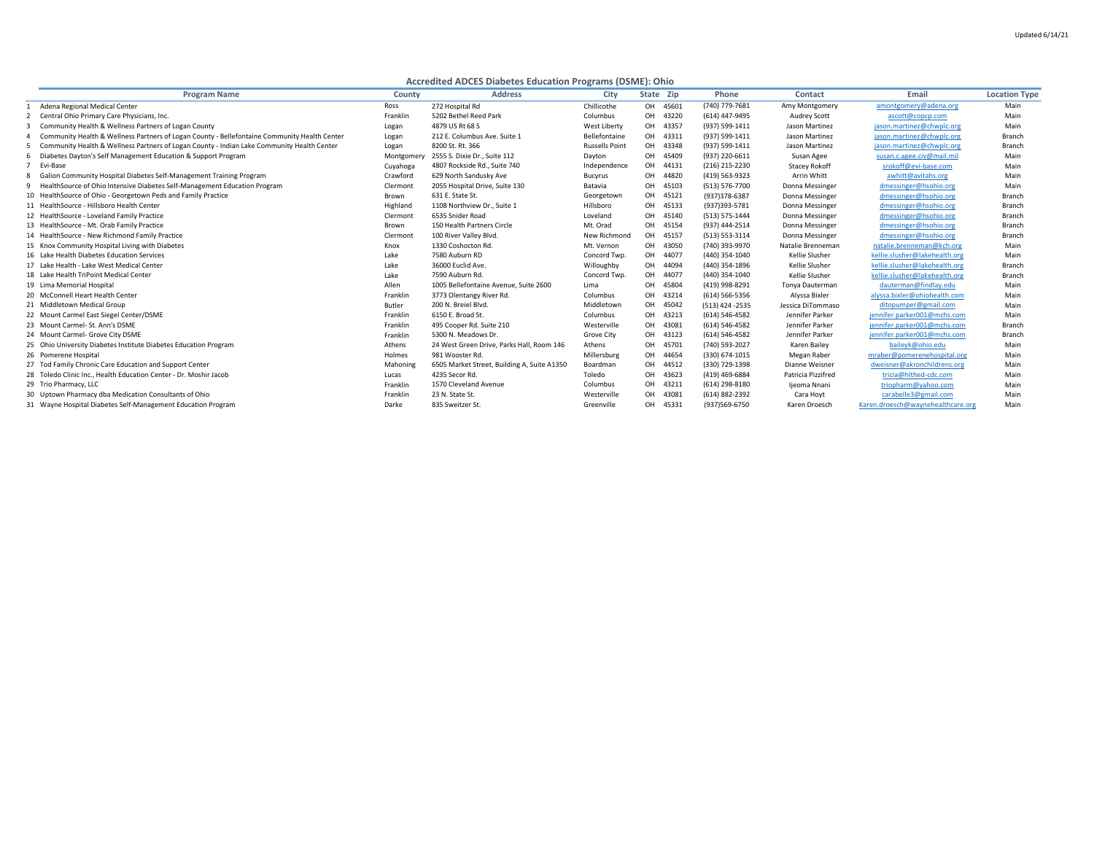## **Accredited ADCES Diabetes Education Programs (DSME): Ohio**

| <b>Program Name</b>                                                                          | <b>County</b> | <b>Address</b>                              | <b>City</b>           | State Zip |          | <b>Phone</b>       | <b>Contact</b>        | Email                             | <b>Location Type</b> |
|----------------------------------------------------------------------------------------------|---------------|---------------------------------------------|-----------------------|-----------|----------|--------------------|-----------------------|-----------------------------------|----------------------|
| Adena Regional Medical Center                                                                | Ross          | 272 Hospital Rd                             | Chillicothe           |           | OH 45601 | (740) 779-7681     | Amy Montgomery        | amontgomery@adena.org             | Main                 |
| Central Ohio Primary Care Physicians, Inc.                                                   | Franklin      | 5202 Bethel Reed Park                       | Columbus              |           | OH 43220 | (614) 447-9495     | <b>Audrey Scott</b>   | ascott@copcp.com                  | Main                 |
| Community Health & Wellness Partners of Logan County                                         | Logan         | 4879 US Rt 68 S                             | West Liberty          |           | OH 43357 | (937) 599-1411     | Jason Martinez        | jason.martinez@chwplc.org         | Main                 |
| Community Health & Wellness Partners of Logan County - Bellefontaine Community Health Center | Logan         | 212 E. Columbus Ave. Suite 1                | Bellefontaine         |           | OH 43311 | (937) 599-1411     | Jason Martinez        | jason.martinez@chwplc.org         | <b>Branch</b>        |
| Community Health & Wellness Partners of Logan County - Indian Lake Community Health Center   | Logan         | 8200 St. Rt. 366                            | <b>Russells Point</b> |           | OH 43348 | (937) 599-1411     | Jason Martinez        | jason.martinez@chwplc.org         | <b>Branch</b>        |
| Diabetes Dayton's Self Management Education & Support Program                                | Montgomery    | 2555 S. Dixie Dr., Suite 112                | Dayton                |           | OH 45409 | (937) 220-6611     | Susan Agee            | susan.c.agee.civ@mail.mil         | Main                 |
| Evi-Base                                                                                     | Cuyahoga      | 4807 Rockside Rd., Suite 740                | Independence          |           | OH 44131 | (216) 215-2230     | <b>Stacey Rokoff</b>  | srokoff@evi-base.com              | Main                 |
| Galion Community Hospital Diabetes Self-Management Training Program<br>8                     | Crawford      | 629 North Sandusky Ave                      | <b>Bucyrus</b>        |           | OH 44820 | (419) 563-9323     | Arrin Whitt           | awhitt@avitahs.org                | Main                 |
| HealthSource of Ohio Intensive Diabetes Self-Management Education Program<br>9               | Clermont      | 2055 Hospital Drive, Suite 130              | Batavia               |           | OH 45103 | (513) 576-7700     | Donna Messinger       | dmessinger@hsohio.org             | Main                 |
| 10 Health Source of Ohio - Georgetown Peds and Family Practice                               | Brown         | 631 E. State St.                            | Georgetown            |           | OH 45121 | (937) 378-6387     | Donna Messinger       | dmessinger@hsohio.org             | <b>Branch</b>        |
| 11 HealthSource - Hillsboro Health Center                                                    | Highland      | 1108 Northview Dr., Suite 1                 | Hillsboro             |           | OH 45133 | (937)393-5781      | Donna Messinger       | dmessinger@hsohio.org             | <b>Branch</b>        |
| 12 HealthSource - Loveland Family Practice                                                   | Clermont      | 6535 Snider Road                            | Loveland              |           | OH 45140 | $(513) 575 - 1444$ | Donna Messinger       | dmessinger@hsohio.org             | <b>Branch</b>        |
| 13 HealthSource - Mt. Orab Family Practice                                                   | Brown         | 150 Health Partners Circle                  | Mt. Orad              |           | OH 45154 | (937) 444-2514     | Donna Messinger       | dmessinger@hsohio.org             | <b>Branch</b>        |
| 14 HealthSource - New Richmond Family Practice                                               | Clermont      | 100 River Valley Blvd.                      | New Richmond          |           | OH 45157 | $(513) 553 - 3114$ | Donna Messinger       | dmessinger@hsohio.org             | <b>Branch</b>        |
| 15 Knox Community Hospital Living with Diabetes                                              | Knox          | 1330 Coshocton Rd.                          | Mt. Vernon            |           | OH 43050 | (740) 393-9970     | Natalie Brenneman     | natalie.brenneman@kch.org         | Main                 |
| 16 Lake Health Diabetes Education Services                                                   | Lake          | 7580 Auburn RD                              | Concord Twp.          |           | OH 44077 | (440) 354-1040     | <b>Kellie Slusher</b> | kellie.slusher@lakehealth.org     | Main                 |
| 17 Lake Health - Lake West Medical Center                                                    | Lake          | 36000 Euclid Ave.                           | Willoughby            |           | OH 44094 | (440) 354-1896     | Kellie Slusher        | kellie.slusher@lakehealth.org     | <b>Branch</b>        |
| 18 Lake Health TriPoint Medical Center                                                       | Lake          | 7590 Auburn Rd.                             | Concord Twp.          |           | OH 44077 | (440) 354-1040     | Kellie Slusher        | kellie.slusher@lakehealth.org     | <b>Branch</b>        |
| 19 Lima Memorial Hospital                                                                    | Allen         | 1005 Bellefontaine Avenue, Suite 2600       | Lima                  |           | OH 45804 | (419) 998-8291     | Tonya Dauterman       | dauterman@findlay.edu             | Main                 |
| 20 McConnell Heart Health Center                                                             | Franklin      | 3773 Olentangy River Rd.                    | Columbus              | OH        | 43214    | $(614) 566 - 5356$ | Alyssa Bixler         | alyssa.bixler@ohiohealth.com      | Main                 |
| 21 Middletown Medical Group                                                                  | <b>Butler</b> | 200 N. Breiel Blvd.                         | Middletown            |           | OH 45042 | $(513)$ 424 -2535  | Jessica DiTommaso     | ditopumper@gmail.com              | Main                 |
| 22 Mount Carmel East Siegel Center/DSME                                                      | Franklin      | 6150 E. Broad St.                           | Columbus              |           | OH 43213 | $(614) 546 - 4582$ | Jennifer Parker       | jennifer.parker001@mchs.com       | Main                 |
| 23 Mount Carmel- St. Ann's DSME                                                              | Franklin      | 495 Cooper Rd. Suite 210                    | Westerville           |           | OH 43081 | (614) 546-4582     | Jennifer Parker       | jennifer.parker001@mchs.com       | <b>Branch</b>        |
| 24 Mount Carmel- Grove City DSME                                                             | Franklin      | 5300 N. Meadows Dr                          | Grove City            |           | OH 43123 | $(614) 546 - 4582$ | Jennifer Parker       | jennifer.parker001@mchs.com       | <b>Branch</b>        |
| 25 Ohio University Diabetes Institute Diabetes Education Program                             | Athens        | 24 West Green Drive, Parks Hall, Room 146   | Athens                |           | OH 45701 | (740) 593-2027     | Karen Bailey          | baileyk@ohio.edu                  | Main                 |
| 26 Pomerene Hospital                                                                         | Holmes        | 981 Wooster Rd.                             | Millersburg           | OH        | 44654    | (330) 674-1015     | Megan Raber           | mraber@pomerenehospital.org       | Main                 |
| 27 Tod Family Chronic Care Education and Support Center                                      | Mahoning      | 6505 Market Street, Building A, Suite A1350 | Boardman              |           | OH 44512 | (330) 729-1398     | Dianne Weisner        | dweisner@akronchildrens.org       | Main                 |
| 28 Toledo Clinic Inc., Health Education Center - Dr. Moshir Jacob                            | Lucas         | 4235 Secor Rd.                              | Toledo                |           | OH 43623 | (419) 469-6884     | Patricia Pizzifred    | tricia@hlthed-cdc.com             | Main                 |
| 29 Trio Pharmacy, LLC                                                                        | Franklin      | 1570 Cleveland Avenue                       | Columbus              |           | OH 43211 | $(614)$ 298-8180   | Ijeoma Nnani          | triopharm@yahoo.com               | Main                 |
| 30 Uptown Pharmacy dba Medication Consultants of Ohio                                        | Franklin      | 23 N. State St.                             | Westerville           |           | OH 43081 | (614) 882-2392     | Cara Hoyt             | carabelle3@gmail.com              | Main                 |
| 31 Wayne Hospital Diabetes Self-Management Education Program                                 | Darke         | 835 Sweitzer St.                            | Greenville            |           | OH 45331 | (937)569-6750      | Karen Droesch         | Karen.droesch@waynehealthcare.org | Main                 |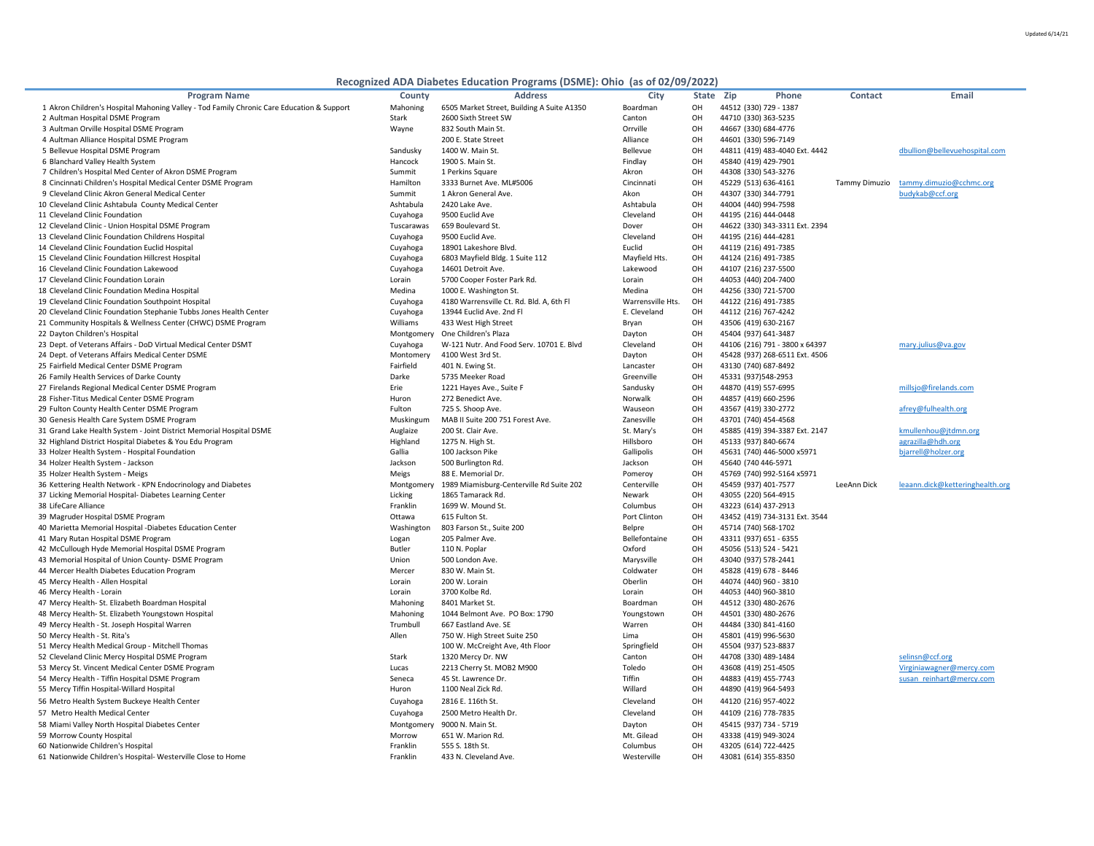| v |
|---|
|---|

## **Recognized ADA Diabetes Education Programs (DSME): Ohio (as of 02/09,**

| <b>Program Name</b>                                                                       | <b>County</b> | <b>Address</b>                             | <b>City</b>       | State Zip | <b>Phone</b>                   | <b>Contact</b> | <b>Email</b>                    |
|-------------------------------------------------------------------------------------------|---------------|--------------------------------------------|-------------------|-----------|--------------------------------|----------------|---------------------------------|
| 1 Akron Children's Hospital Mahoning Valley - Tod Family Chronic Care Education & Support | Mahoning      | 6505 Market Street, Building A Suite A1350 | Boardman          | OH        | 44512 (330) 729 - 1387         |                |                                 |
| 2 Aultman Hospital DSME Program                                                           | <b>Stark</b>  | 2600 Sixth Street SW                       | Canton            | OH        | 44710 (330) 363-5235           |                |                                 |
| 3 Aultman Orville Hospital DSME Program                                                   | Wayne         | 832 South Main St.                         | Orrville          | OH        | 44667 (330) 684-4776           |                |                                 |
| 4 Aultman Alliance Hospital DSME Program                                                  |               | 200 E. State Street                        | Alliance          | OH        | 44601 (330) 596-7149           |                |                                 |
| 5 Bellevue Hospital DSME Program                                                          | Sandusky      | 1400 W. Main St.                           | Bellevue          | OH        | 44811 (419) 483-4040 Ext. 4442 |                | dbullion@bellevuehospital.com   |
| 6 Blanchard Valley Health System                                                          | Hancock       | 1900 S. Main St.                           | Findlay           | OH        | 45840 (419) 429-7901           |                |                                 |
| 7 Children's Hospital Med Center of Akron DSME Program                                    | Summit        | 1 Perkins Square                           | Akron             | OH        | 44308 (330) 543-3276           |                |                                 |
| 8 Cincinnati Children's Hospital Medical Center DSME Program                              | Hamilton      | 3333 Burnet Ave. ML#5006                   | Cincinnati        | OH        | 45229 (513) 636-4161           | Tammy Dimuzio  | tammy.dimuzio@cchmc.org         |
| 9 Cleveland Clinic Akron General Medical Center                                           | Summit        | 1 Akron General Ave.                       | Akon              | OH        | 44307 (330) 344-7791           |                | budykab@ccf.org                 |
| 10 Cleveland Clinic Ashtabula County Medical Center                                       | Ashtabula     | 2420 Lake Ave.                             | Ashtabula         | OH        | 44004 (440) 994-7598           |                |                                 |
| 11 Cleveland Clinic Foundation                                                            | Cuyahoga      | 9500 Euclid Ave                            | Cleveland         | OH        | 44195 (216) 444-0448           |                |                                 |
| 12 Cleveland Clinic - Union Hospital DSME Program                                         | Tuscarawas    | 659 Boulevard St.                          | Dover             | OH        | 44622 (330) 343-3311 Ext. 2394 |                |                                 |
| 13 Cleveland Clinic Foundation Childrens Hospital                                         | Cuyahoga      | 9500 Euclid Ave.                           | Cleveland         | OH        | 44195 (216) 444-4281           |                |                                 |
| 14 Cleveland Clinic Foundation Euclid Hospital                                            | Cuyahoga      | 18901 Lakeshore Blvd.                      | Euclid            | OH        | 44119 (216) 491-7385           |                |                                 |
| 15 Cleveland Clinic Foundation Hillcrest Hospital                                         | Cuyahoga      | 6803 Mayfield Bldg. 1 Suite 112            | Mayfield Hts.     | OH        | 44124 (216) 491-7385           |                |                                 |
| 16 Cleveland Clinic Foundation Lakewood                                                   | Cuyahoga      | 14601 Detroit Ave.                         | Lakewood          | OH        | 44107 (216) 237-5500           |                |                                 |
| 17 Cleveland Clinic Foundation Lorain                                                     | Lorain        | 5700 Cooper Foster Park Rd.                | Lorain            | OH        | 44053 (440) 204-7400           |                |                                 |
| 18 Cleveland Clinic Foundation Medina Hospital                                            | Medina        | 1000 E. Washington St.                     | Medina            | OH        | 44256 (330) 721-5700           |                |                                 |
| 19 Cleveland Clinic Foundation Southpoint Hospital                                        | Cuyahoga      | 4180 Warrensville Ct. Rd. Bld. A, 6th Fl   | Warrensville Hts. | OH        | 44122 (216) 491-7385           |                |                                 |
| 20 Cleveland Clinic Foundation Stephanie Tubbs Jones Health Center                        | Cuyahoga      | 13944 Euclid Ave. 2nd Fl                   | E. Cleveland      | OH        | 44112 (216) 767-4242           |                |                                 |
| 21 Community Hospitals & Wellness Center (CHWC) DSME Program                              | Williams      | 433 West High Street                       | Bryan             | OH        | 43506 (419) 630-2167           |                |                                 |
| 22 Dayton Children's Hospital                                                             | Montgomery    | One Children's Plaza                       | Dayton            | OH        | 45404 (937) 641-3487           |                |                                 |
| 23 Dept. of Veterans Affairs - DoD Virtual Medical Center DSMT                            | Cuyahoga      | W-121 Nutr. And Food Serv. 10701 E. Blvd   | Cleveland         | OH        | 44106 (216) 791 - 3800 x 64397 |                | mary.julius@va.gov              |
| 24 Dept. of Veterans Affairs Medical Center DSME                                          | Montomery     | 4100 West 3rd St.                          | Dayton            | OH        | 45428 (937) 268-6511 Ext. 4506 |                |                                 |
| 25 Fairfield Medical Center DSME Program                                                  | Fairfield     | 401 N. Ewing St.                           | Lancaster         | OH        | 43130 (740) 687-8492           |                |                                 |
| 26 Family Health Services of Darke County                                                 | Darke         | 5735 Meeker Road                           | Greenville        | OH        | 45331 (937)548-2953            |                |                                 |
| 27 Firelands Regional Medical Center DSME Program                                         | Erie          | 1221 Hayes Ave., Suite F                   | Sandusky          | OH        | 44870 (419) 557-6995           |                | millsjo@firelands.com           |
| 28 Fisher-Titus Medical Center DSME Program                                               | Huron         | 272 Benedict Ave.                          | Norwalk           | OH        | 44857 (419) 660-2596           |                |                                 |
| 29 Fulton County Health Center DSME Program                                               | Fulton        | 725 S. Shoop Ave.                          | Wauseon           | OH        | 43567 (419) 330-2772           |                | afrey@fulhealth.org             |
| 30 Genesis Health Care System DSME Program                                                | Muskingum     | MAB II Suite 200 751 Forest Ave.           | Zanesville        | OH        | 43701 (740) 454-4568           |                |                                 |
| 31 Grand Lake Health System - Joint District Memorial Hospital DSME                       | Auglaize      | 200 St. Clair Ave.                         | St. Mary's        | OН        | 45885 (419) 394-3387 Ext. 2147 |                | kmullenhou@jtdmn.org            |
| 32 Highland District Hospital Diabetes & You Edu Program                                  | Highland      | 1275 N. High St.                           | Hillsboro         | OH        | 45133 (937) 840-6674           |                | agrazilla@hdh.org               |
| 33 Holzer Health System - Hospital Foundation                                             | Gallia        | 100 Jackson Pike                           | Gallipolis        | OH        | 45631 (740) 446-5000 x5971     |                | bjarrell@holzer.org             |
| 34 Holzer Health System - Jackson                                                         | Jackson       | 500 Burlington Rd.                         | Jackson           | OH        | 45640 (740 446-5971            |                |                                 |
| 35 Holzer Health System - Meigs                                                           | Meigs         | 88 E. Memorial Dr.                         | Pomeroy           | OH        | 45769 (740) 992-5164 x5971     |                |                                 |
| 36 Kettering Health Network - KPN Endocrinology and Diabetes                              | Montgomery    | 1989 Miamisburg-Centerville Rd Suite 202   | Centerville       | OH        | 45459 (937) 401-7577           | LeeAnn Dick    | leaann.dick@ketteringhealth.org |
| 37 Licking Memorial Hospital-Diabetes Learning Center                                     | Licking       | 1865 Tamarack Rd.                          | Newark            | OH        | 43055 (220) 564-4915           |                |                                 |
| 38 LifeCare Alliance                                                                      | Franklin      | 1699 W. Mound St.                          | Columbus          | OH        | 43223 (614) 437-2913           |                |                                 |
| 39 Magruder Hospital DSME Program                                                         | Ottawa        | 615 Fulton St.                             | Port Clinton      | OH        | 43452 (419) 734-3131 Ext. 3544 |                |                                 |
| 40 Marietta Memorial Hospital -Diabetes Education Center                                  | Washington    | 803 Farson St., Suite 200                  | Belpre            | OH        | 45714 (740) 568-1702           |                |                                 |
| 41 Mary Rutan Hospital DSME Program                                                       | Logan         | 205 Palmer Ave.                            | Bellefontaine     | OH        | 43311 (937) 651 - 6355         |                |                                 |
| 42 McCullough Hyde Memorial Hospital DSME Program                                         | <b>Butler</b> | 110 N. Poplar                              | Oxford            | OH        | 45056 (513) 524 - 5421         |                |                                 |
| 43 Memorial Hospital of Union County- DSME Program                                        | Union         | 500 London Ave.                            | Marysville        | OH        | 43040 (937) 578-2441           |                |                                 |
| 44 Mercer Health Diabetes Education Program                                               | Mercer        | 830 W. Main St.                            | Coldwater         | OH        | 45828 (419) 678 - 8446         |                |                                 |
| 45 Mercy Health - Allen Hospital                                                          | Lorain        | 200 W. Lorain                              | Oberlin           | OH        | 44074 (440) 960 - 3810         |                |                                 |
| 46 Mercy Health - Lorain                                                                  | Lorain        | 3700 Kolbe Rd.                             | Lorain            | OH        | 44053 (440) 960-3810           |                |                                 |
| 47 Mercy Health-St. Elizabeth Boardman Hospital                                           | Mahoning      | 8401 Market St.                            | Boardman          | OH        | 44512 (330) 480-2676           |                |                                 |
| 48 Mercy Health- St. Elizabeth Youngstown Hospital                                        | Mahoning      | 1044 Belmont Ave. PO Box: 1790             | Youngstown        | OH        | 44501 (330) 480-2676           |                |                                 |
| 49 Mercy Health - St. Joseph Hospital Warren                                              | Trumbull      | 667 Eastland Ave. SE                       | Warren            | OH        | 44484 (330) 841-4160           |                |                                 |
| 50 Mercy Health - St. Rita's                                                              | Allen         | 750 W. High Street Suite 250               | Lima              | OH        | 45801 (419) 996-5630           |                |                                 |
| 51 Mercy Health Medical Group - Mitchell Thomas                                           |               | 100 W. McCreight Ave, 4th Floor            | Springfield       | OH        | 45504 (937) 523-8837           |                |                                 |
| 52 Cleveland Clinic Mercy Hospital DSME Program                                           | Stark         | 1320 Mercy Dr. NW                          | Canton            | OH        | 44708 (330) 489-1484           |                | selinsn@ccf.org                 |
| 53 Mercy St. Vincent Medical Center DSME Program                                          | Lucas         | 2213 Cherry St. MOB2 M900                  | Toledo            | OH        | 43608 (419) 251-4505           |                | Virginiawagner@mercy.com        |
| 54 Mercy Health - Tiffin Hospital DSME Program                                            | Seneca        | 45 St. Lawrence Dr.                        | Tiffin            | OH        | 44883 (419) 455-7743           |                | susan reinhart@mercy.com        |
| 55 Mercy Tiffin Hospital-Willard Hospital                                                 | Huron         | 1100 Neal Zick Rd.                         | Willard           | OH        | 44890 (419) 964-5493           |                |                                 |
| 56 Metro Health System Buckeye Health Center                                              | Cuyahoga      | 2816 E. 116th St.                          | Cleveland         | OH        | 44120 (216) 957-4022           |                |                                 |
| 57 Metro Health Medical Center                                                            | Cuyahoga      | 2500 Metro Health Dr.                      | Cleveland         | OH        | 44109 (216) 778-7835           |                |                                 |
| 58 Miami Valley North Hospital Diabetes Center                                            | Montgomery    | 9000 N. Main St.                           | Dayton            | OH        | 45415 (937) 734 - 5719         |                |                                 |
| 59 Morrow County Hospital                                                                 | Morrow        | 651 W. Marion Rd.                          | Mt. Gilead        | OH        | 43338 (419) 949-3024           |                |                                 |
| 60 Nationwide Children's Hospital                                                         | Franklin      | 555 S. 18th St.                            | Columbus          | OH        | 43205 (614) 722-4425           |                |                                 |
| 61 Nationwide Children's Hospital- Westerville Close to Home                              | Franklin      | 433 N. Cleveland Ave.                      | Westerville       | OH        | 43081 (614) 355-8350           |                |                                 |
|                                                                                           |               |                                            |                   |           |                                |                |                                 |